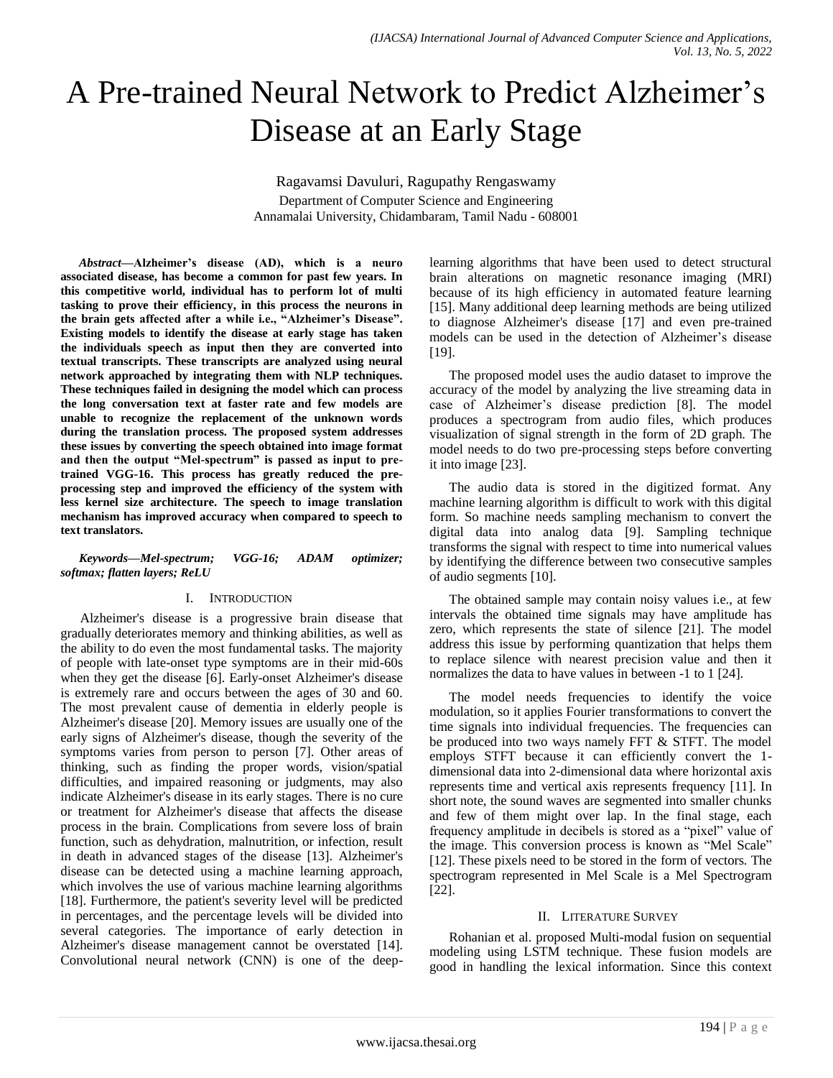# A Pre-trained Neural Network to Predict Alzheimer's Disease at an Early Stage

Ragavamsi Davuluri, Ragupathy Rengaswamy Department of Computer Science and Engineering Annamalai University, Chidambaram, Tamil Nadu - 608001

*Abstract***—Alzheimer's disease (AD), which is a neuro associated disease, has become a common for past few years. In this competitive world, individual has to perform lot of multi tasking to prove their efficiency, in this process the neurons in the brain gets affected after a while i.e., "Alzheimer's Disease". Existing models to identify the disease at early stage has taken the individuals speech as input then they are converted into textual transcripts. These transcripts are analyzed using neural network approached by integrating them with NLP techniques. These techniques failed in designing the model which can process the long conversation text at faster rate and few models are unable to recognize the replacement of the unknown words during the translation process. The proposed system addresses these issues by converting the speech obtained into image format and then the output "Mel-spectrum" is passed as input to pretrained VGG-16. This process has greatly reduced the preprocessing step and improved the efficiency of the system with less kernel size architecture. The speech to image translation mechanism has improved accuracy when compared to speech to text translators.**

#### *Keywords—Mel-spectrum; VGG-16; ADAM optimizer; softmax; flatten layers; ReLU*

## I. INTRODUCTION

Alzheimer's disease is a progressive brain disease that gradually deteriorates memory and thinking abilities, as well as the ability to do even the most fundamental tasks. The majority of people with late-onset type symptoms are in their mid-60s when they get the disease [6]. Early-onset Alzheimer's disease is extremely rare and occurs between the ages of 30 and 60. The most prevalent cause of dementia in elderly people is Alzheimer's disease [20]. Memory issues are usually one of the early signs of Alzheimer's disease, though the severity of the symptoms varies from person to person [7]. Other areas of thinking, such as finding the proper words, vision/spatial difficulties, and impaired reasoning or judgments, may also indicate Alzheimer's disease in its early stages. There is no cure or treatment for Alzheimer's disease that affects the disease process in the brain. Complications from severe loss of brain function, such as dehydration, malnutrition, or infection, result in death in advanced stages of the disease [13]. Alzheimer's disease can be detected using a machine learning approach, which involves the use of various machine learning algorithms [18]. Furthermore, the patient's severity level will be predicted in percentages, and the percentage levels will be divided into several categories. The importance of early detection in Alzheimer's disease management cannot be overstated [14]. Convolutional neural network (CNN) is one of the deeplearning algorithms that have been used to detect structural brain alterations on magnetic resonance imaging (MRI) because of its high efficiency in automated feature learning [15]. Many additional deep learning methods are being utilized to diagnose Alzheimer's disease [17] and even pre-trained models can be used in the detection of Alzheimer's disease [19].

The proposed model uses the audio dataset to improve the accuracy of the model by analyzing the live streaming data in case of Alzheimer's disease prediction [8]. The model produces a spectrogram from audio files, which produces visualization of signal strength in the form of 2D graph. The model needs to do two pre-processing steps before converting it into image [23].

The audio data is stored in the digitized format. Any machine learning algorithm is difficult to work with this digital form. So machine needs sampling mechanism to convert the digital data into analog data [9]. Sampling technique transforms the signal with respect to time into numerical values by identifying the difference between two consecutive samples of audio segments [10].

The obtained sample may contain noisy values i.e., at few intervals the obtained time signals may have amplitude has zero, which represents the state of silence [21]. The model address this issue by performing quantization that helps them to replace silence with nearest precision value and then it normalizes the data to have values in between -1 to 1 [24].

The model needs frequencies to identify the voice modulation, so it applies Fourier transformations to convert the time signals into individual frequencies. The frequencies can be produced into two ways namely FFT & STFT. The model employs STFT because it can efficiently convert the 1 dimensional data into 2-dimensional data where horizontal axis represents time and vertical axis represents frequency [11]. In short note, the sound waves are segmented into smaller chunks and few of them might over lap. In the final stage, each frequency amplitude in decibels is stored as a "pixel" value of the image. This conversion process is known as "Mel Scale" [12]. These pixels need to be stored in the form of vectors. The spectrogram represented in Mel Scale is a Mel Spectrogram [22].

## II. LITERATURE SURVEY

Rohanian et al. proposed Multi-modal fusion on sequential modeling using LSTM technique. These fusion models are good in handling the lexical information. Since this context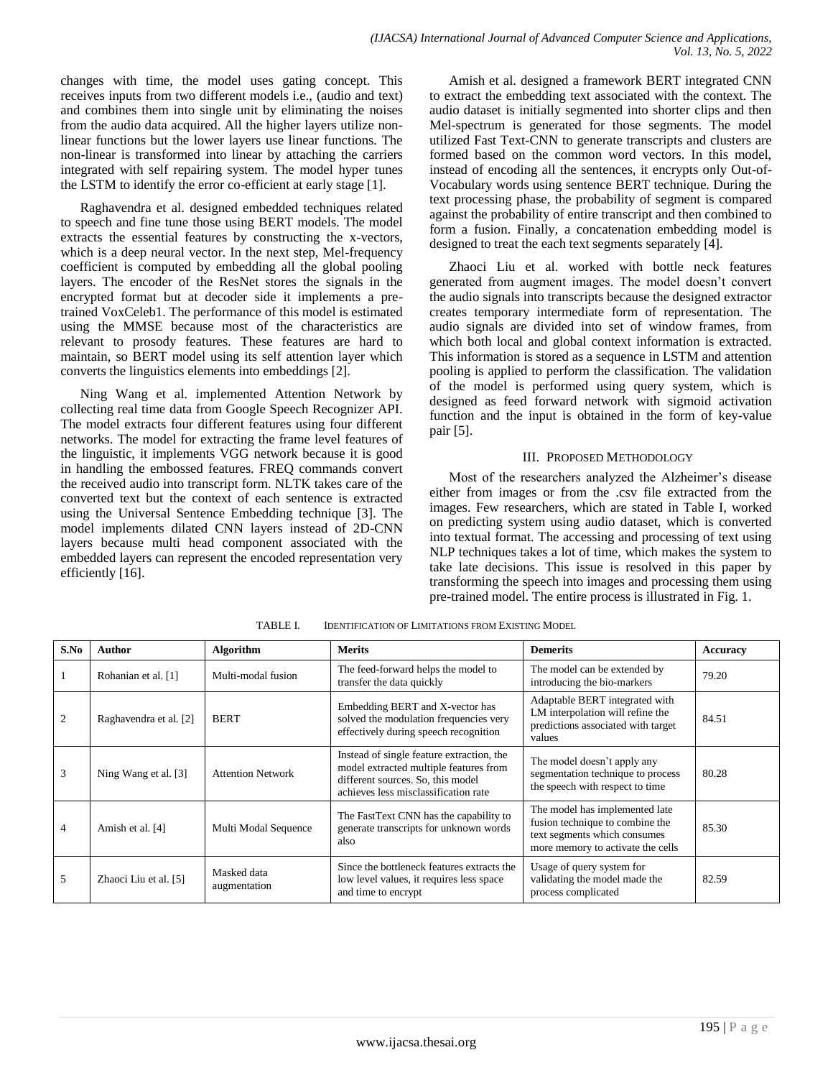changes with time, the model uses gating concept. This receives inputs from two different models i.e., (audio and text) and combines them into single unit by eliminating the noises from the audio data acquired. All the higher layers utilize nonlinear functions but the lower layers use linear functions. The non-linear is transformed into linear by attaching the carriers integrated with self repairing system. The model hyper tunes the LSTM to identify the error co-efficient at early stage [1].

Raghavendra et al. designed embedded techniques related to speech and fine tune those using BERT models. The model extracts the essential features by constructing the x-vectors, which is a deep neural vector. In the next step, Mel-frequency coefficient is computed by embedding all the global pooling layers. The encoder of the ResNet stores the signals in the encrypted format but at decoder side it implements a pretrained VoxCeleb1. The performance of this model is estimated using the MMSE because most of the characteristics are relevant to prosody features. These features are hard to maintain, so BERT model using its self attention layer which converts the linguistics elements into embeddings [2].

Ning Wang et al. implemented Attention Network by collecting real time data from Google Speech Recognizer API. The model extracts four different features using four different networks. The model for extracting the frame level features of the linguistic, it implements VGG network because it is good in handling the embossed features. FREQ commands convert the received audio into transcript form. NLTK takes care of the converted text but the context of each sentence is extracted using the Universal Sentence Embedding technique [3]. The model implements dilated CNN layers instead of 2D-CNN layers because multi head component associated with the embedded layers can represent the encoded representation very efficiently [16].

Amish et al. designed a framework BERT integrated CNN to extract the embedding text associated with the context. The audio dataset is initially segmented into shorter clips and then Mel-spectrum is generated for those segments. The model utilized Fast Text-CNN to generate transcripts and clusters are formed based on the common word vectors. In this model, instead of encoding all the sentences, it encrypts only Out-of-Vocabulary words using sentence BERT technique. During the text processing phase, the probability of segment is compared against the probability of entire transcript and then combined to form a fusion. Finally, a concatenation embedding model is designed to treat the each text segments separately [4].

Zhaoci Liu et al. worked with bottle neck features generated from augment images. The model doesn't convert the audio signals into transcripts because the designed extractor creates temporary intermediate form of representation. The audio signals are divided into set of window frames, from which both local and global context information is extracted. This information is stored as a sequence in LSTM and attention pooling is applied to perform the classification. The validation of the model is performed using query system, which is designed as feed forward network with sigmoid activation function and the input is obtained in the form of key-value pair [5].

# III. PROPOSED METHODOLOGY

Most of the researchers analyzed the Alzheimer's disease either from images or from the .csv file extracted from the images. Few researchers, which are stated in Table I, worked on predicting system using audio dataset, which is converted into textual format. The accessing and processing of text using NLP techniques takes a lot of time, which makes the system to take late decisions. This issue is resolved in this paper by transforming the speech into images and processing them using pre-trained model. The entire process is illustrated in Fig. 1.

| S.No           | Author                 | <b>Algorithm</b>            | <b>Merits</b>                                                                                                                                                    | <b>Demerits</b>                                                                                                                        | <b>Accuracy</b> |
|----------------|------------------------|-----------------------------|------------------------------------------------------------------------------------------------------------------------------------------------------------------|----------------------------------------------------------------------------------------------------------------------------------------|-----------------|
|                | Rohanian et al. [1]    | Multi-modal fusion          | The feed-forward helps the model to<br>transfer the data quickly                                                                                                 | The model can be extended by<br>introducing the bio-markers                                                                            | 79.20           |
| $\overline{c}$ | Raghavendra et al. [2] | <b>BERT</b>                 | Embedding BERT and X-vector has<br>solved the modulation frequencies very<br>effectively during speech recognition                                               | Adaptable BERT integrated with<br>LM interpolation will refine the<br>predictions associated with target<br>values                     | 84.51           |
| 3              | Ning Wang et al. [3]   | <b>Attention Network</b>    | Instead of single feature extraction, the<br>model extracted multiple features from<br>different sources. So, this model<br>achieves less misclassification rate | The model doesn't apply any<br>segmentation technique to process<br>the speech with respect to time                                    | 80.28           |
| 4              | Amish et al. [4]       | Multi Modal Sequence        | The FastText CNN has the capability to<br>generate transcripts for unknown words<br>also                                                                         | The model has implemented late<br>fusion technique to combine the<br>text segments which consumes<br>more memory to activate the cells | 85.30           |
| 5              | Zhaoci Liu et al. [5]  | Masked data<br>augmentation | Since the bottleneck features extracts the<br>low level values, it requires less space<br>and time to encrypt                                                    | Usage of query system for<br>validating the model made the<br>process complicated                                                      | 82.59           |

TABLE I. IDENTIFICATION OF LIMITATIONS FROM EXISTING MODEL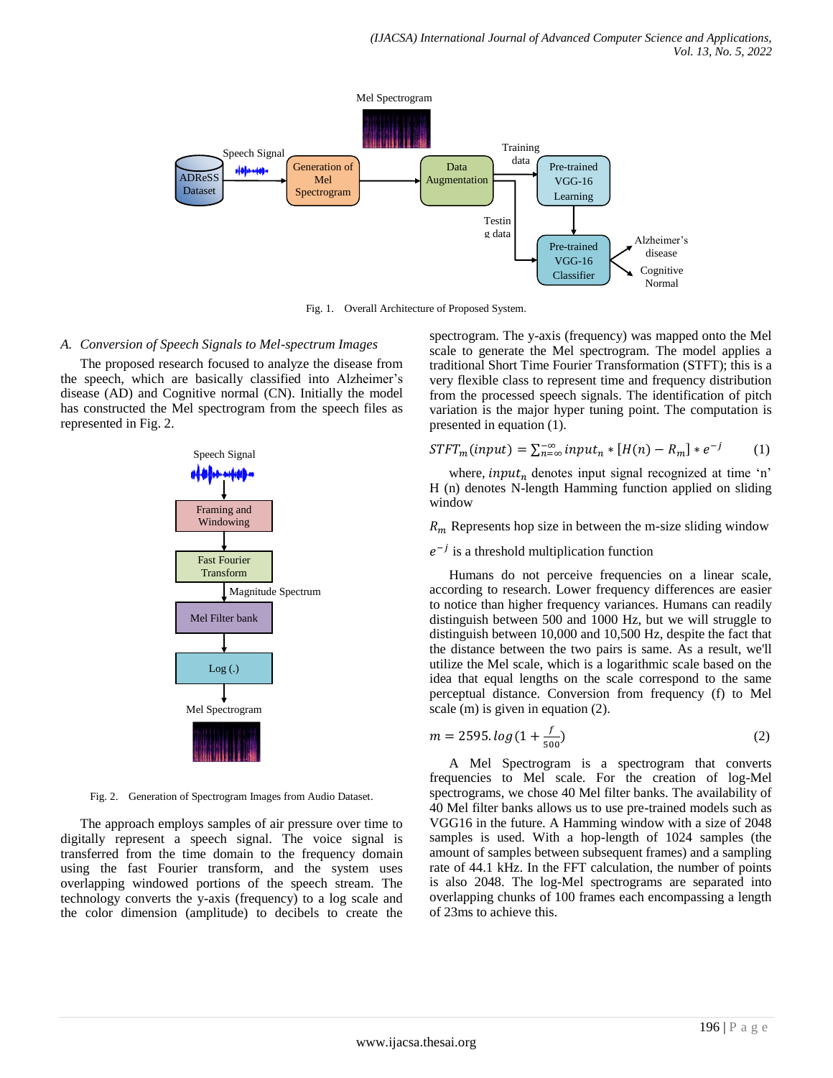

Fig. 1. Overall Architecture of Proposed System.

## *A. Conversion of Speech Signals to Mel-spectrum Images*

The proposed research focused to analyze the disease from the speech, which are basically classified into Alzheimer's disease (AD) and Cognitive normal (CN). Initially the model has constructed the Mel spectrogram from the speech files as represented in Fig. 2.



Fig. 2. Generation of Spectrogram Images from Audio Dataset.

The approach employs samples of air pressure over time to digitally represent a speech signal. The voice signal is transferred from the time domain to the frequency domain using the fast Fourier transform, and the system uses overlapping windowed portions of the speech stream. The technology converts the y-axis (frequency) to a log scale and the color dimension (amplitude) to decibels to create the

spectrogram. The y-axis (frequency) was mapped onto the Mel scale to generate the Mel spectrogram. The model applies a traditional Short Time Fourier Transformation (STFT); this is a very flexible class to represent time and frequency distribution from the processed speech signals. The identification of pitch variation is the major hyper tuning point. The computation is presented in equation (1).

$$
STFT_m(input) = \sum_{n=\infty}^{\infty} input_n * [H(n) - R_m] * e^{-j}
$$
 (1)

where, input<sub>n</sub> denotes input signal recognized at time 'n' H (n) denotes N-length Hamming function applied on sliding window

 $R_m$  Represents hop size in between the m-size sliding window

# $e^{-j}$  is a threshold multiplication function

Humans do not perceive frequencies on a linear scale, according to research. Lower frequency differences are easier to notice than higher frequency variances. Humans can readily distinguish between 500 and 1000 Hz, but we will struggle to distinguish between 10,000 and 10,500 Hz, despite the fact that the distance between the two pairs is same. As a result, we'll utilize the Mel scale, which is a logarithmic scale based on the idea that equal lengths on the scale correspond to the same perceptual distance. Conversion from frequency (f) to Mel scale (m) is given in equation (2).

$$
m = 2595. \log(1 + \frac{f}{500})
$$
 (2)

A Mel Spectrogram is a spectrogram that converts frequencies to Mel scale. For the creation of log-Mel spectrograms, we chose 40 Mel filter banks. The availability of 40 Mel filter banks allows us to use pre-trained models such as VGG16 in the future. A Hamming window with a size of 2048 samples is used. With a hop-length of 1024 samples (the amount of samples between subsequent frames) and a sampling rate of 44.1 kHz. In the FFT calculation, the number of points is also 2048. The log-Mel spectrograms are separated into overlapping chunks of 100 frames each encompassing a length of 23ms to achieve this.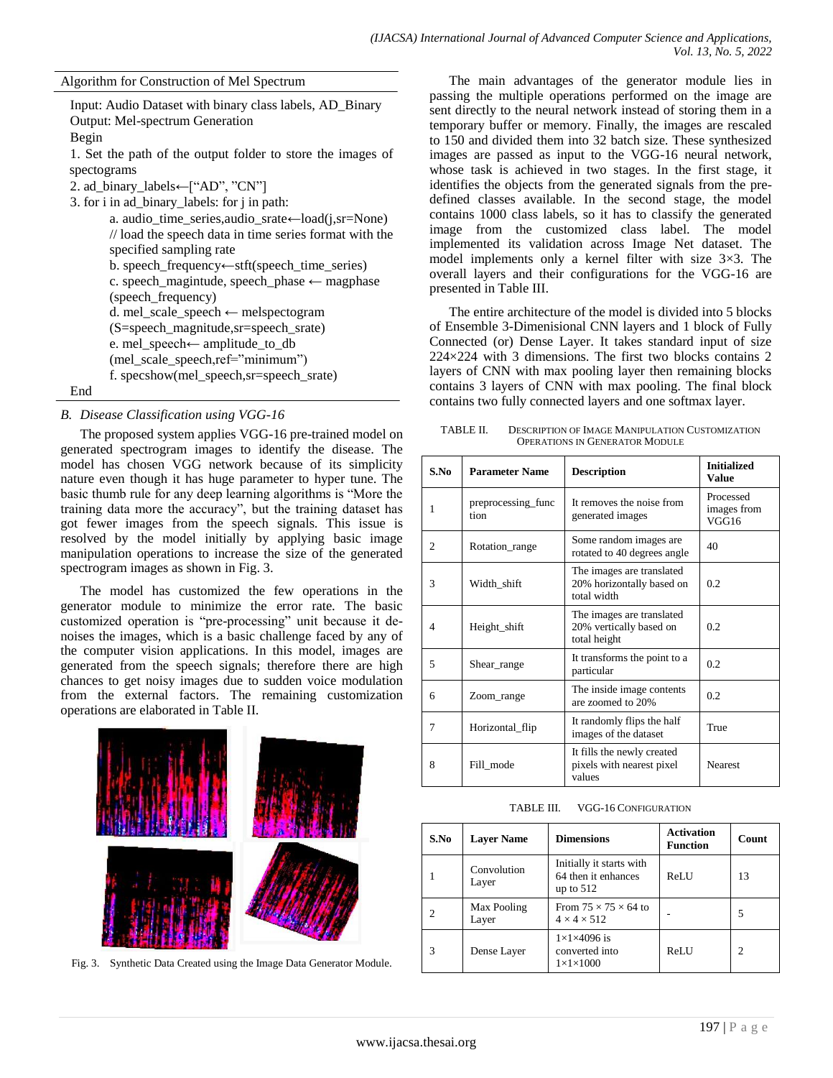Algorithm for Construction of Mel Spectrum

Input: Audio Dataset with binary class labels, AD\_Binary Output: Mel-spectrum Generation Begin 1. Set the path of the output folder to store the images of spectograms 2. ad\_binary\_labels←["AD", "CN"] 3. for i in ad\_binary\_labels: for j in path: a. audio\_time\_series,audio\_srate←load(j,sr=None) // load the speech data in time series format with the specified sampling rate b. speech\_frequency←stft(speech\_time\_series) c. speech\_magintude, speech\_phase ← magphase (speech\_frequency) d. mel scale speech ← melspectogram (S=speech\_magnitude,sr=speech\_srate) e. mel\_speech← amplitude\_to\_db (mel\_scale\_speech,ref="minimum") f. specshow(mel\_speech,sr=speech\_srate) End

# *B. Disease Classification using VGG-16*

The proposed system applies VGG-16 pre-trained model on generated spectrogram images to identify the disease. The model has chosen VGG network because of its simplicity nature even though it has huge parameter to hyper tune. The basic thumb rule for any deep learning algorithms is "More the training data more the accuracy", but the training dataset has got fewer images from the speech signals. This issue is resolved by the model initially by applying basic image manipulation operations to increase the size of the generated spectrogram images as shown in Fig. 3.

The model has customized the few operations in the generator module to minimize the error rate. The basic customized operation is "pre-processing" unit because it denoises the images, which is a basic challenge faced by any of the computer vision applications. In this model, images are generated from the speech signals; therefore there are high chances to get noisy images due to sudden voice modulation from the external factors. The remaining customization operations are elaborated in Table II.



Fig. 3. Synthetic Data Created using the Image Data Generator Module.

The main advantages of the generator module lies in passing the multiple operations performed on the image are sent directly to the neural network instead of storing them in a temporary buffer or memory. Finally, the images are rescaled to 150 and divided them into 32 batch size. These synthesized images are passed as input to the VGG-16 neural network, whose task is achieved in two stages. In the first stage, it identifies the objects from the generated signals from the predefined classes available. In the second stage, the model contains 1000 class labels, so it has to classify the generated image from the customized class label. The model implemented its validation across Image Net dataset. The model implements only a kernel filter with size 3×3. The overall layers and their configurations for the VGG-16 are presented in Table III.

The entire architecture of the model is divided into 5 blocks of Ensemble 3-Dimenisional CNN layers and 1 block of Fully Connected (or) Dense Layer. It takes standard input of size 224×224 with 3 dimensions. The first two blocks contains 2 layers of CNN with max pooling layer then remaining blocks contains 3 layers of CNN with max pooling. The final block contains two fully connected layers and one softmax layer.

TABLE II. DESCRIPTION OF IMAGE MANIPULATION CUSTOMIZATION OPERATIONS IN GENERATOR MODULE

| S.No           | <b>Parameter Name</b>      | <b>Description</b>                                                    | <b>Initialized</b><br><b>Value</b> |
|----------------|----------------------------|-----------------------------------------------------------------------|------------------------------------|
| 1              | preprocessing func<br>tion | It removes the noise from<br>generated images                         | Processed<br>images from<br>VGG16  |
| $\overline{c}$ | Rotation_range             | Some random images are.<br>rotated to 40 degrees angle                | 40                                 |
| 3              | Width shift                | The images are translated<br>20% horizontally based on<br>total width | 0.2                                |
| 4              | Height_shift               | The images are translated<br>20% vertically based on<br>total height  | 0.2                                |
| 5              | Shear_range                | It transforms the point to a<br>particular                            | 0.2                                |
| 6              | Zoom_range                 | The inside image contents<br>are zoomed to 20%                        | 0.2                                |
| 7              | Horizontal_flip            | It randomly flips the half<br>images of the dataset                   | True                               |
| 8              | Fill mode                  | It fills the newly created<br>pixels with nearest pixel<br>values     | <b>Nearest</b>                     |

TABLE III. VGG-16 CONFIGURATION

| S.No           | <b>Dimensions</b><br><b>Laver Name</b> |                                                                   | <b>Activation</b><br><b>Function</b> | Count          |
|----------------|----------------------------------------|-------------------------------------------------------------------|--------------------------------------|----------------|
|                | Convolution<br>Layer                   | Initially it starts with<br>64 then it enhances<br>up to $512$    | ReLU                                 | 13             |
| $\mathfrak{D}$ | Max Pooling<br>Layer                   | From $75 \times 75 \times 64$ to<br>$4 \times 4 \times 512$       |                                      | 5              |
| 3              | Dense Layer                            | $1\times1\times4096$ is<br>converted into<br>$1\times1\times1000$ | ReLU                                 | $\overline{c}$ |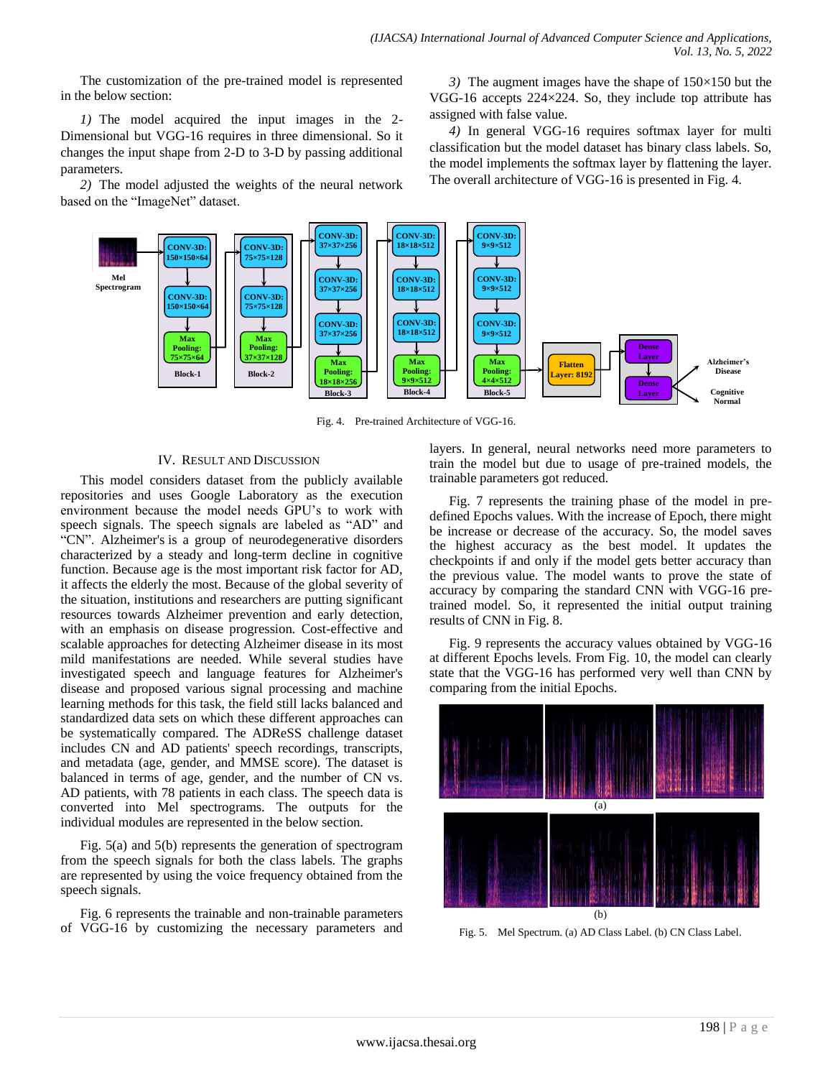The customization of the pre-trained model is represented in the below section:

*1)* The model acquired the input images in the 2- Dimensional but VGG-16 requires in three dimensional. So it changes the input shape from 2-D to 3-D by passing additional parameters.

*2)* The model adjusted the weights of the neural network based on the "ImageNet" dataset.

*3)* The augment images have the shape of 150×150 but the VGG-16 accepts 224×224. So, they include top attribute has assigned with false value.

*4)* In general VGG-16 requires softmax layer for multi classification but the model dataset has binary class labels. So, the model implements the softmax layer by flattening the layer. The overall architecture of VGG-16 is presented in Fig. 4.



Fig. 4. Pre-trained Architecture of VGG-16.

# IV. RESULT AND DISCUSSION

This model considers dataset from the publicly available repositories and uses Google Laboratory as the execution environment because the model needs GPU's to work with speech signals. The speech signals are labeled as "AD" and "CN". Alzheimer's is a group of neurodegenerative disorders characterized by a steady and long-term decline in cognitive function. Because age is the most important risk factor for AD, it affects the elderly the most. Because of the global severity of the situation, institutions and researchers are putting significant resources towards Alzheimer prevention and early detection, with an emphasis on disease progression. Cost-effective and scalable approaches for detecting Alzheimer disease in its most mild manifestations are needed. While several studies have investigated speech and language features for Alzheimer's disease and proposed various signal processing and machine learning methods for this task, the field still lacks balanced and standardized data sets on which these different approaches can be systematically compared. The ADReSS challenge dataset includes CN and AD patients' speech recordings, transcripts, and metadata (age, gender, and MMSE score). The dataset is balanced in terms of age, gender, and the number of CN vs. AD patients, with 78 patients in each class. The speech data is converted into Mel spectrograms. The outputs for the individual modules are represented in the below section.

Fig. 5(a) and 5(b) represents the generation of spectrogram from the speech signals for both the class labels. The graphs are represented by using the voice frequency obtained from the speech signals.

Fig. 6 represents the trainable and non-trainable parameters of VGG-16 by customizing the necessary parameters and layers. In general, neural networks need more parameters to train the model but due to usage of pre-trained models, the trainable parameters got reduced.

Fig. 7 represents the training phase of the model in predefined Epochs values. With the increase of Epoch, there might be increase or decrease of the accuracy. So, the model saves the highest accuracy as the best model. It updates the checkpoints if and only if the model gets better accuracy than the previous value. The model wants to prove the state of accuracy by comparing the standard CNN with VGG-16 pretrained model. So, it represented the initial output training results of CNN in Fig. 8.

Fig. 9 represents the accuracy values obtained by VGG-16 at different Epochs levels. From Fig. 10, the model can clearly state that the VGG-16 has performed very well than CNN by comparing from the initial Epochs.



Fig. 5. Mel Spectrum. (a) AD Class Label. (b) CN Class Label.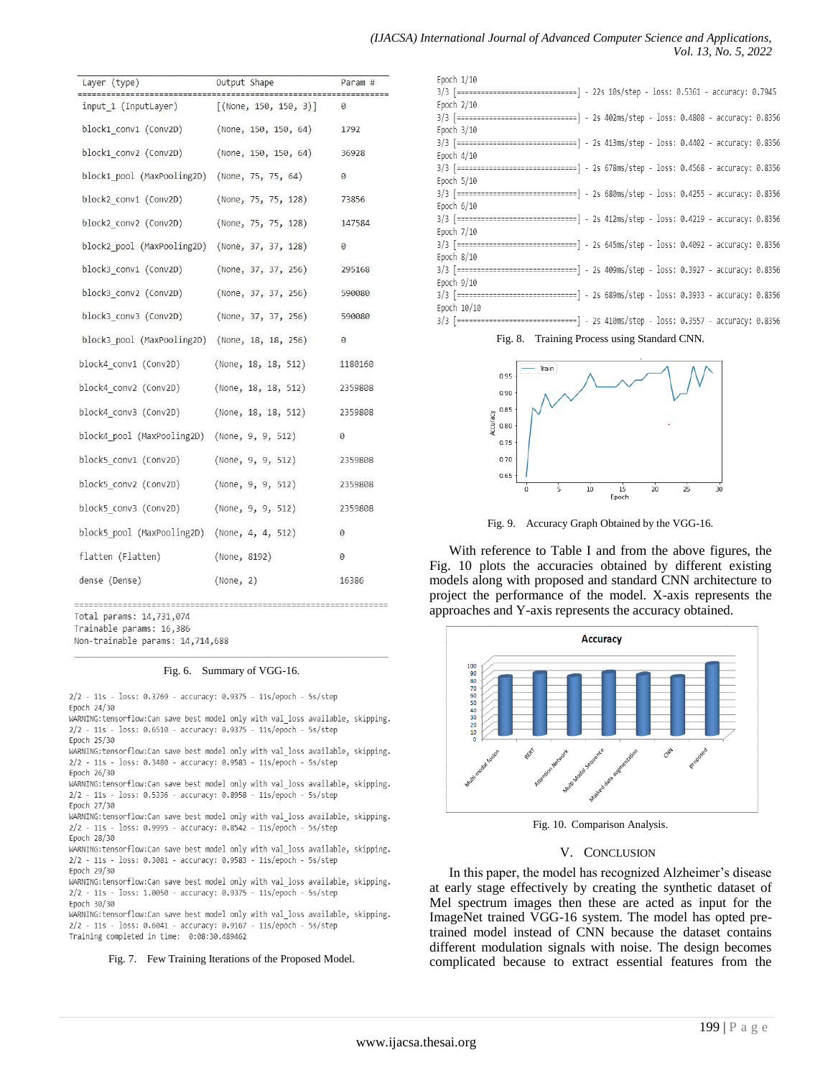| Layer (type)                                   | Output Shape                                         | Param # |
|------------------------------------------------|------------------------------------------------------|---------|
| ================<br>input 1 (InputLayer)       | ---------------------------<br>[(None, 150, 150, 3)] | 0       |
| block1 conv1 (Conv2D)                          | (None, 150, 150, 64)                                 | 1792    |
| block1 conv2 (Conv2D)                          | (None, 150, 150, 64)                                 | 36928   |
| block1 pool (MaxPooling2D)                     | (None, 75, 75, 64)                                   | 0       |
| block2 conv1 (Conv2D)                          | (None, 75, 75, 128)                                  | 73856   |
| block2 conv2 (Conv2D)                          | (None, 75, 75, 128)                                  | 147584  |
| block2 pool (MaxPooling2D)                     | (None, 37, 37, 128)                                  | 0       |
| block3 conv1 (Conv2D)                          | (None, 37, 37, 256)                                  | 295168  |
| block3_conv2 (Conv2D)                          | (None, 37, 37, 256)                                  | 590080  |
| block3 conv3 (Conv2D)                          | (None, 37, 37, 256)                                  | 590080  |
| block3 pool (MaxPooling2D) (None, 18, 18, 256) |                                                      | 0       |
| block4 conv1 (Conv2D)                          | (None, 18, 18, 512)                                  | 1180160 |
| block4 conv2 (Conv2D)                          | (None, 18, 18, 512)                                  | 2359808 |
| block4 conv3 (Conv2D)                          | (None, 18, 18, 512)                                  | 2359808 |
| block4_pool (MaxPooling2D) (None, 9, 9, 512)   |                                                      | 0       |
| block5 conv1 (Conv2D)                          | (None, 9, 9, 512)                                    | 2359808 |
| block5 conv2 (Conv2D)                          | (None, 9, 9, 512)                                    | 2359808 |
| block5 conv3 (Conv2D)                          | (None, 9, 9, 512)                                    | 2359808 |
| block5 pool (MaxPooling2D) (None, 4, 4, 512)   |                                                      | 0       |
| flatten (Flatten)                              | (None, 8192)                                         | 0       |
| dense (Dense)                                  | (None, 2)                                            | 16386   |
|                                                |                                                      |         |

Total params: 14,731,074

Trainable params: 16,386

Non-trainable params: 14,714,688

# Fig. 6. Summary of VGG-16.

2/2 - 11s - loss: 0.3769 - accuracy: 0.9375 - 11s/epoch - 5s/step Epoch 24/30

WARNING:tensorflow:Can save best model only with val loss available, skipping. 2/2 - 11s - loss: 0.6510 - accuracy: 0.9375 - 11s/epoch - 5s/step Epoch 25/30

WARNING:tensorflow:Can save best model only with val\_loss available, skipping. 2/2 - 11s - loss: 0.3480 - accuracy: 0.9583 - 11s/epoch - 5s/step Epoch 26/30

WARNING:tensorflow:Can save best model only with val\_loss available, skipping. 2/2 - 11s - loss: 0.5336 - accuracy: 0.8958 - 11s/epoch - 5s/step Epoch 27/30

WARNING:tensorflow:Can save best model only with val\_loss available, skipping. 2/2 - 11s - loss: 0.9995 - accuracy: 0.8542 - 11s/epoch - 5s/step Epoch 28/30

WARNING:tensorflow:Can save best model only with val\_loss available, skipping. 2/2 - 11s - loss: 0.3081 - accuracy: 0.9583 - 11s/epoch - 5s/step Epoch 29/30

WARNING:tensorflow:Can save best model only with val\_loss available, skipping. 2/2 - 11s - loss: 1.0050 - accuracy: 0.9375 - 11s/epoch - 5s/step Epoch 30/30

WARNING:tensorflow:Can save best model only with val\_loss available, skipping. 2/2 - 11s - loss: 0.6041 - accuracy: 0.9167 - 11s/epoch - 5s/step Training completed in time: 0:08:30.489462

#### Fig. 7. Few Training Iterations of the Proposed Model.

| (IJACSA) International Journal of Advanced Computer Science and Applications, |  |                      |  |
|-------------------------------------------------------------------------------|--|----------------------|--|
|                                                                               |  | Vol. 13, No. 5, 2022 |  |

| Epoch 1/10                                                                             |
|----------------------------------------------------------------------------------------|
| 3/3 [=============================] - 22s 10s/step - loss: 0.5361 - accuracy: 0.7945   |
| Epoch $2/10$                                                                           |
| 3/3 [============================] - 2s 402ms/step - loss: 0.4808 - accuracy: 0.8356   |
| Epoch $3/10$                                                                           |
| 3/3 [=============================] - 2s 413ms/step - loss: 0.4402 - accuracy: 0.8356  |
| Epoch $4/10$                                                                           |
| 3/3 [==============================] - 2s 678ms/step - loss: 0.4568 - accuracy: 0.8356 |
| Epoch $5/10$                                                                           |
| 3/3 [=============================] - 2s 680ms/step - loss: 0.4255 - accuracy: 0.8356  |
| Epoch $6/10$                                                                           |
| 3/3 [==============================] - 2s 412ms/step - loss: 0.4219 - accuracy: 0.8356 |
| Epoch 7/10                                                                             |
| 3/3 [=============================] - 2s 645ms/step - loss: 0.4092 - accuracy: 0.8356  |
| Epoch $8/10$                                                                           |
| 3/3 [=============================] - 2s 409ms/step - loss: 0.3927 - accuracy: 0.8356  |
| Epoch 9/10                                                                             |
| 3/3 [=============================] - 2s 689ms/step - loss: 0.3933 - accuracy: 0.8356  |
| Epoch 10/10                                                                            |
| 3/3 [=============================] - 2s 410ms/step - loss: 0.3557 - accuracy: 0.8356  |

Fig. 8. Training Process using Standard CNN.



Fig. 9. Accuracy Graph Obtained by the VGG-16.

With reference to Table I and from the above figures, the Fig. 10 plots the accuracies obtained by different existing models along with proposed and standard CNN architecture to project the performance of the model. X-axis represents the approaches and Y-axis represents the accuracy obtained.



Fig. 10. Comparison Analysis.

#### V. CONCLUSION

In this paper, the model has recognized Alzheimer's disease at early stage effectively by creating the synthetic dataset of Mel spectrum images then these are acted as input for the ImageNet trained VGG-16 system. The model has opted pretrained model instead of CNN because the dataset contains different modulation signals with noise. The design becomes complicated because to extract essential features from the